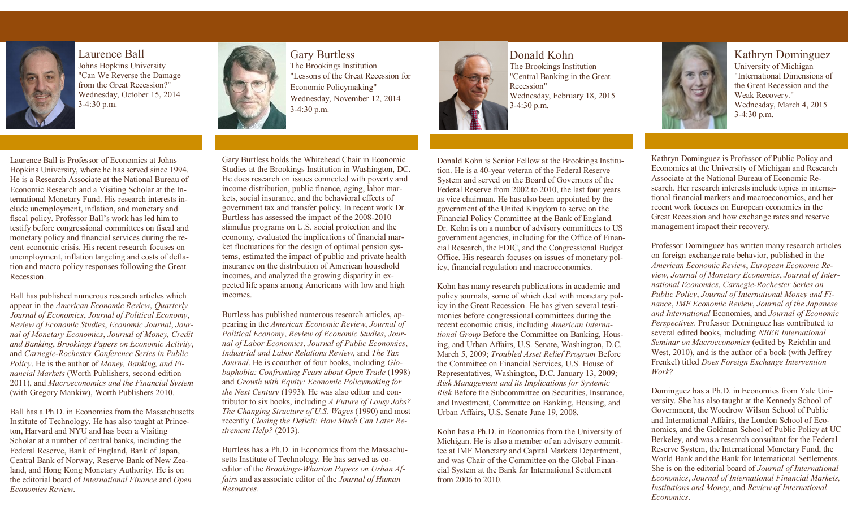

Laurence Ball Johns Hopkins University "Can We Reverse the Damage from the Great Recession?" Wednesday, October 15, 2014 3-4:30 p.m.



Gary Burtless The Brookings Institution "Lessons of the Great Recession for Economic Policymaking" Wednesday, November 12, 2014 3-4:30 p.m.



Donald Kohn The Brookings Institution "Central Banking in the Great Recession" Wednesday, February 18, 2015 3-4:30 p.m.



Kathryn Dominguez University of Michigan "International Dimensions of the Great Recession and the Weak Recovery." Wednesday, March 4, 2015 3-4:30 p.m.

Laurence Ball is Professor of Economics at Johns Hopkins University, where he has served since 1994. He is a Research Associate at the National Bureau of Economic Research and a Visiting Scholar at the International Monetary Fund. His research interests include unemployment, inflation, and monetary and fiscal policy. Professor Ball's work has led him to testify before congressional committees on fiscal and monetary policy and financial services during the recent economic crisis. His recent research focuses on unemployment, inflation targeting and costs of deflation and macro policy responses following the Great Recession.

Ball has published numerous research articles which appear in the *American Economic Review*, *Quarterly Journal of Economics*, *Journal of Political Economy*, *Review of Economic Studies*, *Economic Journal*, *Journal of Monetary Economics*, *Journal of Money, Credit and Banking*, *Brookings Papers on Economic Activity*, and *Carnegie-Rochester Conference Series in Public Policy*. He is the author of *Money, Banking, and Financial Markets* (Worth Publishers, second edition 2011), and *Macroeconomics and the Financial System* (with Gregory Mankiw), Worth Publishers 2010.

Ball has a Ph.D. in Economics from the Massachusetts Institute of Technology. He has also taught at Princeton, Harvard and NYU and has been a Visiting Scholar at a number of central banks, including the Federal Reserve, Bank of England, Bank of Japan, Central Bank of Norway, Reserve Bank of New Zealand, and Hong Kong Monetary Authority. He is on the editorial board of *International Finance* and *Open Economies Review*.

Gary Burtless holds the Whitehead Chair in Economic Studies at the Brookings Institution in Washington, DC. He does research on issues connected with poverty and income distribution, public finance, aging, labor markets, social insurance, and the behavioral effects of government tax and transfer policy. In recent work Dr. Burtless has assessed the impact of the 2008-2010 stimulus programs on U.S. social protection and the economy, evaluated the implications of financial market fluctuations for the design of optimal pension systems, estimated the impact of public and private health insurance on the distribution of American household incomes, and analyzed the growing disparity in expected life spans among Americans with low and high incomes.

Burtless has published numerous research articles, appearing in the *American Economic Review*, *Journal of Political Economy*, *Review of Economic Studies*, *Journal of Labor Economics*, *Journal of Public Economics*, *Industrial and Labor Relations Review*, and *The Tax Journal*. He is coauthor of four books, including *Globaphobia: Confronting Fears about Open Trade* (1998) and *Growth with Equity: Economic Policymaking for the Next Century* (1993). He was also editor and contributor to six books, including *A Future of Lousy Jobs? The Changing Structure of U.S. Wages* (1990) and most recently *Closing the Deficit: How Much Can Later Retirement Help?* (2013).

Burtless has a Ph.D. in Economics from the Massachusetts Institute of Technology. He has served as coeditor of the *Brookings-Wharton Papers on Urban Affairs* and as associate editor of the *Journal of Human Resources*.

Donald Kohn is Senior Fellow at the Brookings Institution. He is a 40-year veteran of the Federal Reserve System and served on the Board of Governors of the Federal Reserve from 2002 to 2010, the last four years as vice chairman. He has also been appointed by the government of the United Kingdom to serve on the Financial Policy Committee at the Bank of England. Dr. Kohn is on a number of advisory committees to US government agencies, including for the Office of Financial Research, the FDIC, and the Congressional Budget Office. His research focuses on issues of monetary policy, financial regulation and macroeconomics.

Kohn has many research publications in academic and policy journals, some of which deal with monetary policy in the Great Recession. He has given several testimonies before congressional committees during the recent economic crisis, including *American International Group* Before the Committee on Banking, Housing, and Urban Affairs, U.S. Senate, Washington, D.C. March 5, 2009; *Troubled Asset Relief Program* Before the Committee on Financial Services, U.S. House of Representatives, Washington, D.C. January 13, 2009; *Risk Management and its Implications for Systemic Risk* Before the Subcommittee on Securities, Insurance, and Investment, Committee on Banking, Housing, and Urban Affairs, U.S. Senate June 19, 2008.

Kohn has a Ph.D. in Economics from the University of Michigan. He is also a member of an advisory committee at IMF Monetary and Capital Markets Department, and was Chair of the Committee on the Global Financial System at the Bank for International Settlement from 2006 to 2010.

Kathryn Dominguez is Professor of Public Policy and Economics at the [University of Michigan a](http://www.umich.edu/)nd Research Associate at the [National Bureau of Economic Re](http://www.nber.org/)[search.](http://www.nber.org/) Her research interests include topics in international financial markets and macroeconomics, and her recent work focuses on European economies in the Great Recession and how exchange rates and reserve management impact their recovery.

Professor Dominguez has written many research articles on foreign exchange rate behavior, published in the *American Economic Review*, *European Economic Review*, *Journal of Monetary Economics*, *Journal of International Economics*, *Carnegie-Rochester Series on Public Policy*, *Journal of International Money and Finance*, *IMF Economic Review*, *Journal of the Japanese and International* Economies, and *Journal of Economic Perspectives*. Professor Dominguez has contributed to several edited books, including *NBER International Seminar on Macroeconomics* (edited by Reichlin and West, 2010), and is the author of a book (with Jeffrey Frenkel) titled *Does Foreign Exchange Intervention Work?*

Dominguez has a Ph.D. in Economics from [Yale Uni](http://www.econ.yale.edu/)[versity.](http://www.econ.yale.edu/) She has also taught at the [Kennedy School of](http://www.ksg.harvard.edu/)  [Government,](http://www.ksg.harvard.edu/) the [Woodrow Wilson School of Public](http://www.wws.princeton.edu/)  [and International Affairs,](http://www.wws.princeton.edu/) the [London School of Eco](http://www.lse.ac.uk/)[nomics,](http://www.lse.ac.uk/) and the [Goldman School of Public Policy a](http://gspp.berkeley.edu/index.html)t [UC](http://www.berkeley.edu/)  [Berkeley,](http://www.berkeley.edu/) and was a research consultant for the Federal [Reserve System,](http://www.federalreserve.gov/) the [International Monetary Fund,](http://www.imf.org/) the [World Bank a](http://www.worldbank.org/)nd th[e Bank for International Settlements.](http://www.bis.org/)  She is on the editorial board of *Journal of International Economics*, *Journal of International Financial Markets, Institutions and Money*, and *Review of International Economics*.